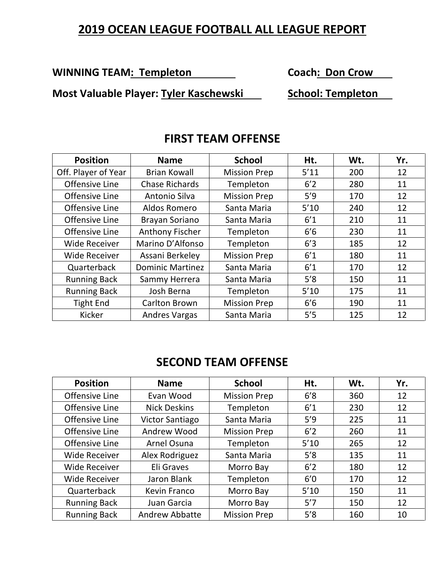## **2019 OCEAN LEAGUE FOOTBALL ALL LEAGUE REPORT**

**WINNING TEAM: Templeton Coach: Don Crow** 

**Most Valuable Player: Tyler Kaschewski School: Templeton** 

| <b>Position</b>      | <b>Name</b>             | <b>School</b>       | Ht.  | Wt. | Yr. |
|----------------------|-------------------------|---------------------|------|-----|-----|
| Off. Player of Year  | Brian Kowall            | <b>Mission Prep</b> | 5'11 | 200 | 12  |
| Offensive Line       | <b>Chase Richards</b>   | Templeton           | 6'2  | 280 | 11  |
| Offensive Line       | Antonio Silva           | <b>Mission Prep</b> | 5'9  | 170 | 12  |
| Offensive Line       | Aldos Romero            | Santa Maria         | 5'10 | 240 | 12  |
| Offensive Line       | Brayan Soriano          | Santa Maria         | 6'1  | 210 | 11  |
| Offensive Line       | Anthony Fischer         | Templeton           | 6'6  | 230 | 11  |
| <b>Wide Receiver</b> | Marino D'Alfonso        | Templeton           | 6'3  | 185 | 12  |
| <b>Wide Receiver</b> | Assani Berkeley         | <b>Mission Prep</b> | 6'1  | 180 | 11  |
| Quarterback          | <b>Dominic Martinez</b> | Santa Maria         | 6'1  | 170 | 12  |
| <b>Running Back</b>  | Sammy Herrera           | Santa Maria         | 5'8  | 150 | 11  |
| <b>Running Back</b>  | Josh Berna              | Templeton           | 5'10 | 175 | 11  |
| <b>Tight End</b>     | Carlton Brown           | <b>Mission Prep</b> | 6'6  | 190 | 11  |
| Kicker               | <b>Andres Vargas</b>    | Santa Maria         | 5'5  | 125 | 12  |

#### **FIRST TEAM OFFENSE**

# **SECOND TEAM OFFENSE**

| <b>Position</b>      | <b>Name</b>            | <b>School</b>       | Ht.  | Wt. | Yr. |
|----------------------|------------------------|---------------------|------|-----|-----|
| Offensive Line       | Evan Wood              | <b>Mission Prep</b> | 6'8  | 360 | 12  |
| Offensive Line       | <b>Nick Deskins</b>    | Templeton           | 6'1  | 230 | 12  |
| Offensive Line       | <b>Victor Santiago</b> | Santa Maria         | 5'9  | 225 | 11  |
| Offensive Line       | Andrew Wood            | <b>Mission Prep</b> | 6'2  | 260 | 11  |
| Offensive Line       | Arnel Osuna            | Templeton           | 5'10 | 265 | 12  |
| <b>Wide Receiver</b> | Alex Rodriguez         | Santa Maria         | 5'8  | 135 | 11  |
| <b>Wide Receiver</b> | Eli Graves             | Morro Bay           | 6'2  | 180 | 12  |
| <b>Wide Receiver</b> | Jaron Blank            | Templeton           | 6'0  | 170 | 12  |
| Quarterback          | Kevin Franco           | Morro Bay           | 5'10 | 150 | 11  |
| <b>Running Back</b>  | Juan Garcia            | Morro Bay           | 5'7  | 150 | 12  |
| <b>Running Back</b>  | <b>Andrew Abbatte</b>  | <b>Mission Prep</b> | 5'8  | 160 | 10  |